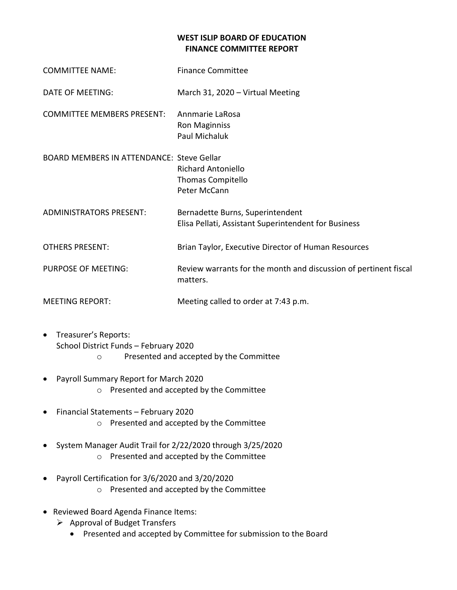## **WEST ISLIP BOARD OF EDUCATION FINANCE COMMITTEE REPORT**

| <b>COMMITTEE NAME:</b>                           | <b>Finance Committee</b>                                                                 |
|--------------------------------------------------|------------------------------------------------------------------------------------------|
| DATE OF MEETING:                                 | March 31, 2020 - Virtual Meeting                                                         |
| <b>COMMITTEE MEMBERS PRESENT:</b>                | Annmarie LaRosa<br><b>Ron Maginniss</b><br>Paul Michaluk                                 |
| <b>BOARD MEMBERS IN ATTENDANCE: Steve Gellar</b> | <b>Richard Antoniello</b><br>Thomas Compitello<br>Peter McCann                           |
| <b>ADMINISTRATORS PRESENT:</b>                   | Bernadette Burns, Superintendent<br>Elisa Pellati, Assistant Superintendent for Business |
| <b>OTHERS PRESENT:</b>                           | Brian Taylor, Executive Director of Human Resources                                      |
| <b>PURPOSE OF MEETING:</b>                       | Review warrants for the month and discussion of pertinent fiscal<br>matters.             |
| <b>MEETING REPORT:</b>                           | Meeting called to order at 7:43 p.m.                                                     |

- Treasurer's Reports: School District Funds – February 2020 o Presented and accepted by the Committee
- Payroll Summary Report for March 2020
	- o Presented and accepted by the Committee
- Financial Statements February 2020 o Presented and accepted by the Committee
- System Manager Audit Trail for 2/22/2020 through 3/25/2020 o Presented and accepted by the Committee
- Payroll Certification for 3/6/2020 and 3/20/2020 o Presented and accepted by the Committee
- Reviewed Board Agenda Finance Items:
	- $\triangleright$  Approval of Budget Transfers
		- Presented and accepted by Committee for submission to the Board